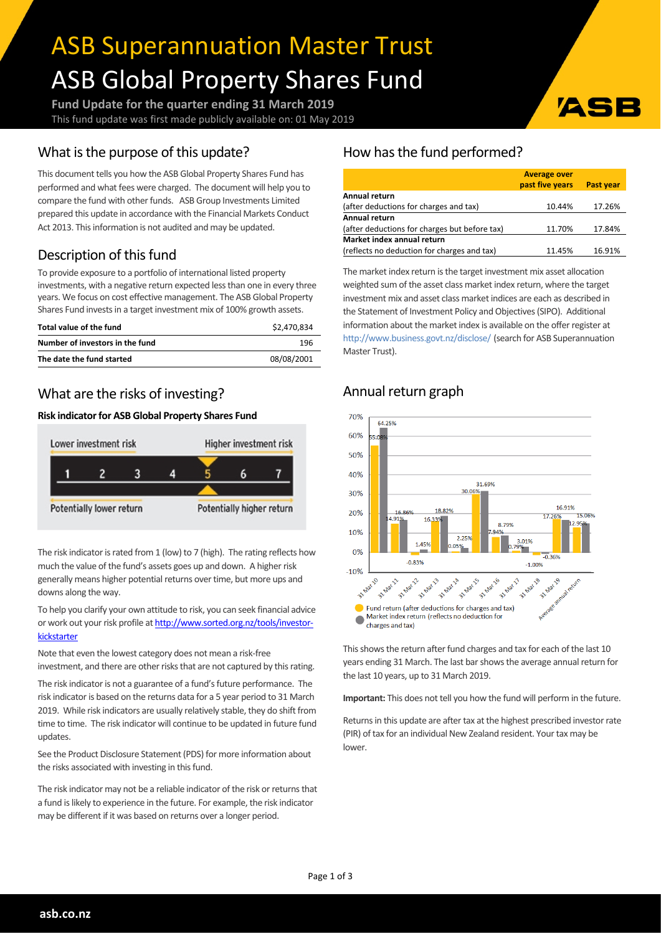# ASB Superannuation Master Trust ASB Global Property Shares Fund

**Fund Update for the quarter ending 31 March 2019** This fund update was first made publicly available on: 01 May 2019

## What is the purpose of this update?

This document tells you how the ASB Global Property Shares Fund has performed and what fees were charged. The document will help you to compare the fund with other funds. ASB Group Investments Limited prepared this update in accordance with the Financial Markets Conduct Act 2013. This information is not audited and may be updated.

# Description of this fund

To provide exposure to a portfolio of international listed property investments, with a negative return expected less than one in every three years. We focus on cost effective management. The ASB Global Property Shares Fund invests in a target investment mix of 100% growth assets.

| Total value of the fund         | \$2,470,834 |
|---------------------------------|-------------|
| Number of investors in the fund | 196         |
| The date the fund started       | 08/08/2001  |

## What are the risks of investing?

#### **Risk indicatorfor ASB Global Property Shares Fund**



The risk indicator is rated from 1 (low) to 7 (high). The rating reflects how much the value of the fund's assets goes up and down. A higher risk generally means higher potential returns over time, but more ups and downs along the way.

To help you clarify your own attitude to risk, you can seek financial advice or work out your risk profile at [http://www.sorted.org.nz/tools/investor](http://www.sorted.org.nz/tools/investor-kickstarter)[kickstarter](http://www.sorted.org.nz/tools/investor-kickstarter)

Note that even the lowest category does not mean a risk-free investment, and there are other risks that are not captured by this rating.

The risk indicator is not a guarantee of a fund's future performance. The risk indicator is based on the returns data for a 5 year period to 31 March 2019. While risk indicators are usually relatively stable, they do shift from time to time. The risk indicator will continue to be updated in future fund updates.

See the Product Disclosure Statement (PDS) for more information about the risks associated with investing in this fund.

The risk indicator may not be a reliable indicator of the risk or returns that a fund is likely to experience in the future. For example, the risk indicator may be different if it was based on returns over a longer period.

## How has the fund performed?

|                                               | <b>Average over</b> |           |  |  |
|-----------------------------------------------|---------------------|-----------|--|--|
|                                               | past five years     | Past year |  |  |
| Annual return                                 |                     |           |  |  |
| (after deductions for charges and tax)        | 10.44%              | 17.26%    |  |  |
| Annual return                                 |                     |           |  |  |
| (after deductions for charges but before tax) | 11.70%              | 17.84%    |  |  |
| Market index annual return                    |                     |           |  |  |
| (reflects no deduction for charges and tax)   | 11.45%              | 16.91%    |  |  |

ASI

The market index return is the target investment mix asset allocation weighted sum of the asset class market index return, where the target investment mix and asset class market indices are each as described in the Statement of Investment Policy and Objectives(SIPO). Additional information about the market index is available on the offer register at <http://www.business.govt.nz/disclose/> (search for ASB Superannuation Master Trust).

# Annual return graph



This shows the return after fund charges and tax for each of the last 10 years ending 31 March. The last bar shows the average annual return for the last 10 years, up to 31 March 2019.

**Important:** This does not tell you how the fund will perform in the future.

Returns in this update are after tax at the highest prescribed investor rate (PIR) of tax for an individual New Zealand resident. Your tax may be lower.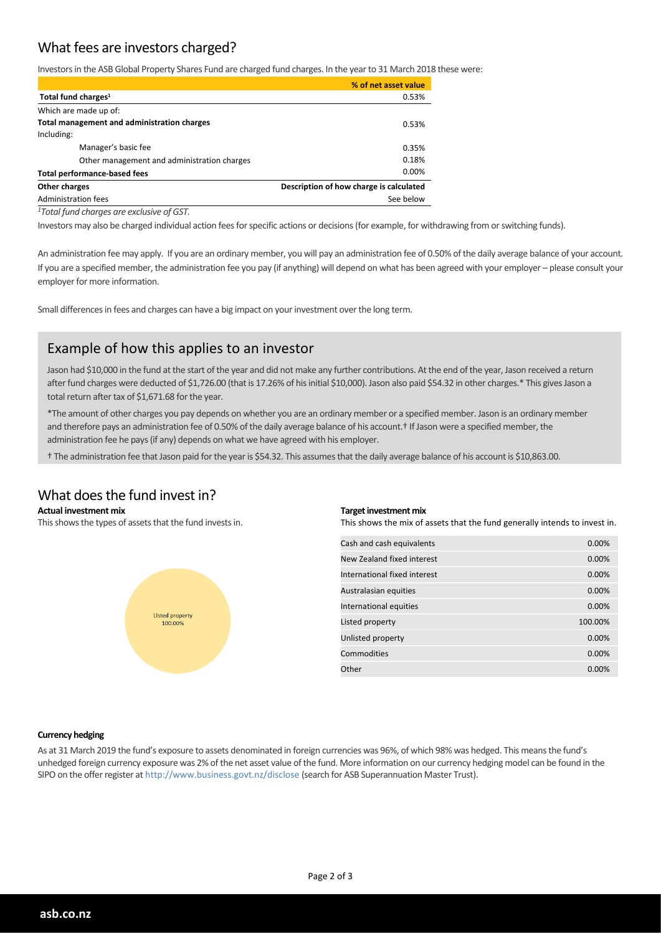## What fees are investors charged?

Investors in the ASB Global Property Shares Fund are charged fund charges. In the year to 31 March 2018 these were:

|                                                          | % of net asset value |
|----------------------------------------------------------|----------------------|
| Total fund charges <sup>1</sup>                          | 0.53%                |
| Which are made up of:                                    |                      |
| Total management and administration charges              | 0.53%                |
| Including:                                               |                      |
| Manager's basic fee                                      | 0.35%                |
| Other management and administration charges              | 0.18%                |
| <b>Total performance-based fees</b>                      | $0.00\%$             |
| Description of how charge is calculated<br>Other charges |                      |
| Administration fees                                      | See below            |
|                                                          |                      |

*<sup>1</sup>Total fund charges are exclusive of GST.*

Investors may also be charged individual action fees for specific actions or decisions (for example, for withdrawing from or switching funds).

An administration fee may apply. If you are an ordinary member, you will pay an administration fee of 0.50% of the daily average balance of your account. If you are a specified member, the administration fee you pay (if anything) will depend on what has been agreed with your employer – please consult your employer for more information.

Small differences in fees and charges can have a big impact on your investment over the long term.

### Example of how this applies to an investor

Jason had \$10,000 in the fund at the start of the year and did not make any further contributions. At the end of the year, Jason received a return after fund charges were deducted of \$1,726.00 (that is 17.26% of his initial \$10,000). Jason also paid \$54.32 in other charges.\* This gives Jason a total return after tax of \$1,671.68 for the year.

\*The amount of other charges you pay depends on whether you are an ordinary member or a specified member. Jason is an ordinary member and therefore pays an administration fee of 0.50% of the daily average balance of his account.<sup>†</sup> If Jason were a specified member, the administration fee he pays(if any) depends on what we have agreed with his employer.

† The administration fee that Jason paid forthe yearis \$54.32. This assumesthat the daily average balance of his account is \$10,863.00.

#### What does the fund invest in?

#### **Actual investment mix**

This shows the types of assets that the fund invests in.



#### **Target investment mix**

This shows the mix of assets that the fund generally intends to invest in.

| Cash and cash equivalents    | 0.00%   |
|------------------------------|---------|
| New Zealand fixed interest   | 0.00%   |
| International fixed interest | 0.00%   |
| Australasian equities        | 0.00%   |
| International equities       | 0.00%   |
| Listed property              | 100.00% |
| Unlisted property            | 0.00%   |
| Commodities                  | 0.00%   |
| Other                        | 0.00%   |

#### **Currency hedging**

As at 31 March 2019 the fund's exposure to assets denominated in foreign currencies was 96%, of which 98% was hedged. This meansthe fund's unhedged foreign currency exposure was 2% of the net asset value of the fund. More information on our currency hedging model can be found in the SIPO on the offerregister at http://www.business.govt.nz/disclose (search for ASB Superannuation Master Trust).